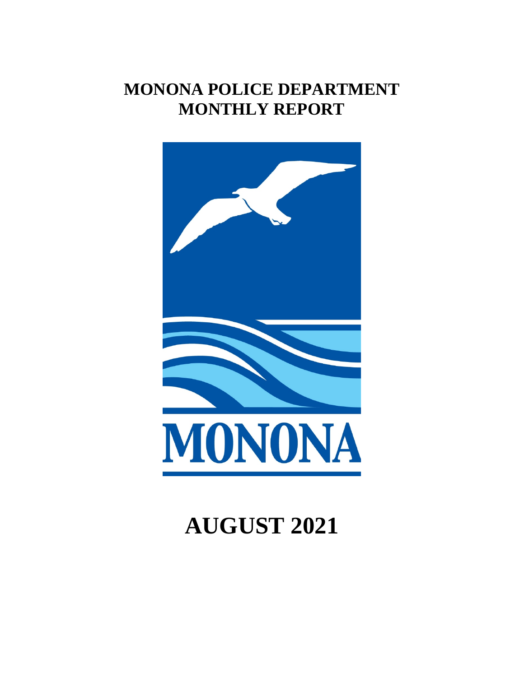# **MONONA POLICE DEPARTMENT MONTHLY REPORT**



# **AUGUST 2021**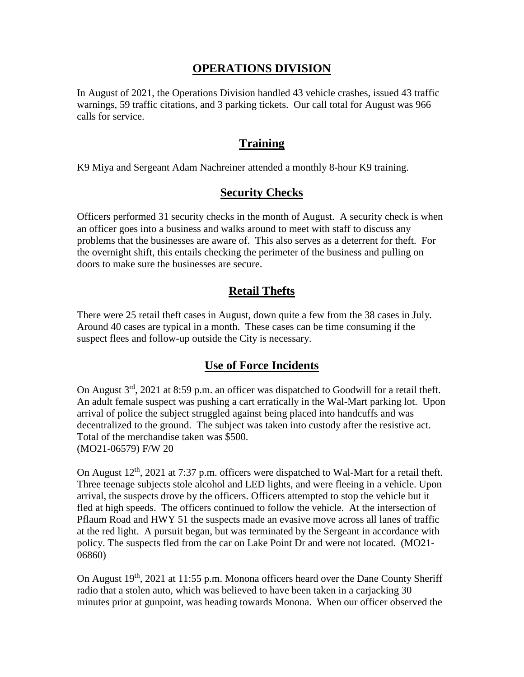#### **OPERATIONS DIVISION**

In August of 2021, the Operations Division handled 43 vehicle crashes, issued 43 traffic warnings, 59 traffic citations, and 3 parking tickets. Our call total for August was 966 calls for service.

#### **Training**

K9 Miya and Sergeant Adam Nachreiner attended a monthly 8-hour K9 training.

## **Security Checks**

Officers performed 31 security checks in the month of August. A security check is when an officer goes into a business and walks around to meet with staff to discuss any problems that the businesses are aware of. This also serves as a deterrent for theft. For the overnight shift, this entails checking the perimeter of the business and pulling on doors to make sure the businesses are secure.

# **Retail Thefts**

There were 25 retail theft cases in August, down quite a few from the 38 cases in July. Around 40 cases are typical in a month. These cases can be time consuming if the suspect flees and follow-up outside the City is necessary.

#### **Use of Force Incidents**

On August 3rd, 2021 at 8:59 p.m. an officer was dispatched to Goodwill for a retail theft. An adult female suspect was pushing a cart erratically in the Wal-Mart parking lot. Upon arrival of police the subject struggled against being placed into handcuffs and was decentralized to the ground. The subject was taken into custody after the resistive act. Total of the merchandise taken was \$500. (MO21-06579) F/W 20

On August  $12<sup>th</sup>$ , 2021 at 7:37 p.m. officers were dispatched to Wal-Mart for a retail theft. Three teenage subjects stole alcohol and LED lights, and were fleeing in a vehicle. Upon arrival, the suspects drove by the officers. Officers attempted to stop the vehicle but it fled at high speeds. The officers continued to follow the vehicle. At the intersection of Pflaum Road and HWY 51 the suspects made an evasive move across all lanes of traffic at the red light. A pursuit began, but was terminated by the Sergeant in accordance with policy. The suspects fled from the car on Lake Point Dr and were not located. (MO21- 06860)

On August  $19<sup>th</sup>$ , 2021 at 11:55 p.m. Monona officers heard over the Dane County Sheriff radio that a stolen auto, which was believed to have been taken in a carjacking 30 minutes prior at gunpoint, was heading towards Monona. When our officer observed the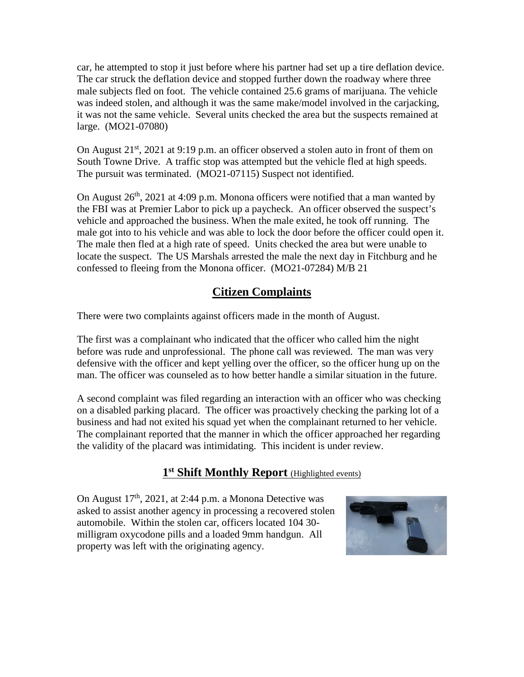car, he attempted to stop it just before where his partner had set up a tire deflation device. The car struck the deflation device and stopped further down the roadway where three male subjects fled on foot. The vehicle contained 25.6 grams of marijuana. The vehicle was indeed stolen, and although it was the same make/model involved in the carjacking, it was not the same vehicle. Several units checked the area but the suspects remained at large. (MO21-07080)

On August 21<sup>st</sup>, 2021 at 9:19 p.m. an officer observed a stolen auto in front of them on South Towne Drive. A traffic stop was attempted but the vehicle fled at high speeds. The pursuit was terminated. (MO21-07115) Suspect not identified.

On August  $26<sup>th</sup>$ , 2021 at 4:09 p.m. Monona officers were notified that a man wanted by the FBI was at Premier Labor to pick up a paycheck. An officer observed the suspect's vehicle and approached the business. When the male exited, he took off running. The male got into to his vehicle and was able to lock the door before the officer could open it. The male then fled at a high rate of speed. Units checked the area but were unable to locate the suspect. The US Marshals arrested the male the next day in Fitchburg and he confessed to fleeing from the Monona officer. (MO21-07284) M/B 21

# **Citizen Complaints**

There were two complaints against officers made in the month of August.

The first was a complainant who indicated that the officer who called him the night before was rude and unprofessional. The phone call was reviewed. The man was very defensive with the officer and kept yelling over the officer, so the officer hung up on the man. The officer was counseled as to how better handle a similar situation in the future.

A second complaint was filed regarding an interaction with an officer who was checking on a disabled parking placard. The officer was proactively checking the parking lot of a business and had not exited his squad yet when the complainant returned to her vehicle. The complainant reported that the manner in which the officer approached her regarding the validity of the placard was intimidating. This incident is under review.

# **1st Shift Monthly Report** (Highlighted events)

On August  $17<sup>th</sup>$ , 2021, at 2:44 p.m. a Monona Detective was asked to assist another agency in processing a recovered stolen automobile. Within the stolen car, officers located 104 30 milligram oxycodone pills and a loaded 9mm handgun. All property was left with the originating agency.

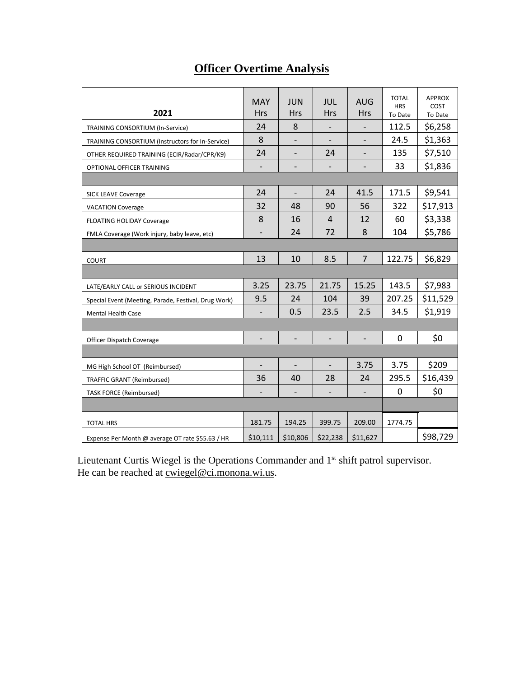# **Officer Overtime Analysis**

| 2021                                                 | <b>MAY</b><br><b>Hrs</b> | <b>JUN</b><br><b>Hrs</b> | <b>JUL</b><br>Hrs            | <b>AUG</b><br><b>Hrs</b> | <b>TOTAL</b><br><b>HRS</b><br>To Date | <b>APPROX</b><br>COST<br>To Date |
|------------------------------------------------------|--------------------------|--------------------------|------------------------------|--------------------------|---------------------------------------|----------------------------------|
| TRAINING CONSORTIUM (In-Service)                     | 24                       | 8                        | $\overline{\phantom{0}}$     | $\overline{\phantom{0}}$ | 112.5                                 | \$6,258                          |
| TRAINING CONSORTIUM (Instructors for In-Service)     | 8                        |                          |                              |                          | 24.5                                  | \$1,363                          |
| OTHER REQUIRED TRAINING (ECIR/Radar/CPR/K9)          | 24                       | $\overline{\phantom{a}}$ | 24                           |                          | 135                                   | \$7,510                          |
| OPTIONAL OFFICER TRAINING                            | $\overline{\phantom{a}}$ | $\overline{\phantom{a}}$ | $\qquad \qquad \blacksquare$ | $\overline{\phantom{0}}$ | 33                                    | \$1,836                          |
|                                                      |                          |                          |                              |                          |                                       |                                  |
| <b>SICK LEAVE Coverage</b>                           | 24                       | $\overline{\phantom{a}}$ | 24                           | 41.5                     | 171.5                                 | \$9,541                          |
| <b>VACATION Coverage</b>                             | 32                       | 48                       | 90                           | 56                       | 322                                   | \$17,913                         |
| <b>FLOATING HOLIDAY Coverage</b>                     | 8                        | 16                       | $\overline{4}$               | 12                       | 60                                    | \$3,338                          |
| FMLA Coverage (Work injury, baby leave, etc)         |                          | 24                       | 72                           | 8                        | 104                                   | \$5,786                          |
|                                                      |                          |                          |                              |                          |                                       |                                  |
| <b>COURT</b>                                         | 13                       | 10                       | 8.5                          | $\overline{7}$           | 122.75                                | \$6,829                          |
|                                                      |                          |                          |                              |                          |                                       |                                  |
| LATE/EARLY CALL or SERIOUS INCIDENT                  | 3.25                     | 23.75                    | 21.75                        | 15.25                    | 143.5                                 | \$7,983                          |
| Special Event (Meeting, Parade, Festival, Drug Work) | 9.5                      | 24                       | 104                          | 39                       | 207.25                                | \$11,529                         |
| <b>Mental Health Case</b>                            |                          | 0.5                      | 23.5                         | 2.5                      | 34.5                                  | \$1,919                          |
|                                                      |                          |                          |                              |                          |                                       |                                  |
| Officer Dispatch Coverage                            | $\overline{\phantom{0}}$ | $\overline{a}$           | $\frac{1}{2}$                | $\overline{a}$           | 0                                     | \$0                              |
|                                                      |                          |                          |                              |                          |                                       |                                  |
| MG High School OT (Reimbursed)                       |                          |                          | $\overline{\phantom{a}}$     | 3.75                     | 3.75                                  | \$209                            |
| <b>TRAFFIC GRANT (Reimbursed)</b>                    | 36                       | 40                       | 28                           | 24                       | 295.5                                 | \$16,439                         |
| <b>TASK FORCE (Reimbursed)</b>                       |                          |                          |                              |                          | 0                                     | \$0                              |
|                                                      |                          |                          |                              |                          |                                       |                                  |
| <b>TOTAL HRS</b>                                     | 181.75                   | 194.25                   | 399.75                       | 209.00                   | 1774.75                               |                                  |
| Expense Per Month @ average OT rate \$55.63 / HR     | \$10,111                 | \$10,806                 | \$22,238                     | \$11,627                 |                                       | \$98,729                         |

Lieutenant Curtis Wiegel is the Operations Commander and 1<sup>st</sup> shift patrol supervisor. He can be reached at <u>cwiegel@ci.monona.wi.us</u>.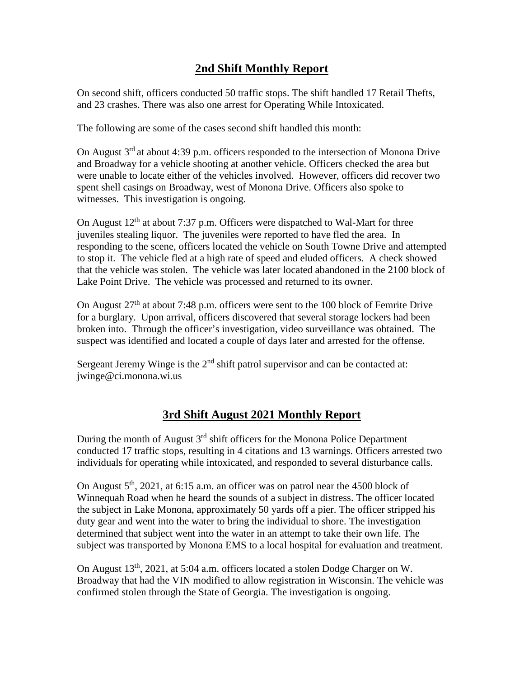# **2nd Shift Monthly Report**

On second shift, officers conducted 50 traffic stops. The shift handled 17 Retail Thefts, and 23 crashes. There was also one arrest for Operating While Intoxicated.

The following are some of the cases second shift handled this month:

On August 3<sup>rd</sup> at about 4:39 p.m. officers responded to the intersection of Monona Drive and Broadway for a vehicle shooting at another vehicle. Officers checked the area but were unable to locate either of the vehicles involved. However, officers did recover two spent shell casings on Broadway, west of Monona Drive. Officers also spoke to witnesses. This investigation is ongoing.

On August  $12<sup>th</sup>$  at about 7:37 p.m. Officers were dispatched to Wal-Mart for three juveniles stealing liquor. The juveniles were reported to have fled the area. In responding to the scene, officers located the vehicle on South Towne Drive and attempted to stop it. The vehicle fled at a high rate of speed and eluded officers. A check showed that the vehicle was stolen. The vehicle was later located abandoned in the 2100 block of Lake Point Drive. The vehicle was processed and returned to its owner.

On August 27<sup>th</sup> at about 7:48 p.m. officers were sent to the 100 block of Femrite Drive for a burglary. Upon arrival, officers discovered that several storage lockers had been broken into. Through the officer's investigation, video surveillance was obtained. The suspect was identified and located a couple of days later and arrested for the offense.

Sergeant Jeremy Winge is the  $2<sup>nd</sup>$  shift patrol supervisor and can be contacted at: jwinge@ci.monona.wi.us

# **3rd Shift August 2021 Monthly Report**

During the month of August  $3<sup>rd</sup>$  shift officers for the Monona Police Department conducted 17 traffic stops, resulting in 4 citations and 13 warnings. Officers arrested two individuals for operating while intoxicated, and responded to several disturbance calls.

On August  $5<sup>th</sup>$ , 2021, at 6:15 a.m. an officer was on patrol near the 4500 block of Winnequah Road when he heard the sounds of a subject in distress. The officer located the subject in Lake Monona, approximately 50 yards off a pier. The officer stripped his duty gear and went into the water to bring the individual to shore. The investigation determined that subject went into the water in an attempt to take their own life. The subject was transported by Monona EMS to a local hospital for evaluation and treatment.

On August  $13<sup>th</sup>$ , 2021, at 5:04 a.m. officers located a stolen Dodge Charger on W. Broadway that had the VIN modified to allow registration in Wisconsin. The vehicle was confirmed stolen through the State of Georgia. The investigation is ongoing.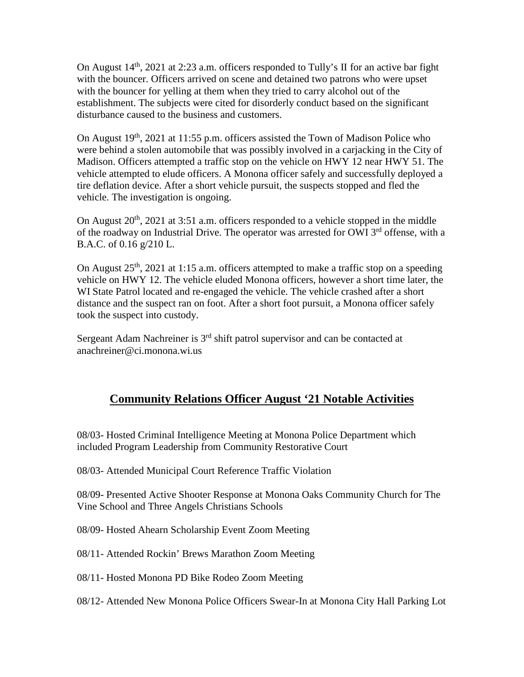On August  $14<sup>th</sup>$ , 2021 at 2:23 a.m. officers responded to Tully's II for an active bar fight with the bouncer. Officers arrived on scene and detained two patrons who were upset with the bouncer for yelling at them when they tried to carry alcohol out of the establishment. The subjects were cited for disorderly conduct based on the significant disturbance caused to the business and customers.

On August  $19<sup>th</sup>$ , 2021 at 11:55 p.m. officers assisted the Town of Madison Police who were behind a stolen automobile that was possibly involved in a carjacking in the City of Madison. Officers attempted a traffic stop on the vehicle on HWY 12 near HWY 51. The vehicle attempted to elude officers. A Monona officer safely and successfully deployed a tire deflation device. After a short vehicle pursuit, the suspects stopped and fled the vehicle. The investigation is ongoing.

On August  $20^{th}$ ,  $2021$  at 3:51 a.m. officers responded to a vehicle stopped in the middle of the roadway on Industrial Drive. The operator was arrested for OWI 3<sup>rd</sup> offense, with a B.A.C. of 0.16 g/210 L.

On August  $25<sup>th</sup>$ ,  $2021$  at 1:15 a.m. officers attempted to make a traffic stop on a speeding vehicle on HWY 12. The vehicle eluded Monona officers, however a short time later, the WI State Patrol located and re-engaged the vehicle. The vehicle crashed after a short distance and the suspect ran on foot. After a short foot pursuit, a Monona officer safely took the suspect into custody.

Sergeant Adam Nachreiner is  $3<sup>rd</sup>$  shift patrol supervisor and can be contacted at anachreiner@ci.monona.wi.us

# **Community Relations Officer August '21 Notable Activities**

08/03- Hosted Criminal Intelligence Meeting at Monona Police Department which included Program Leadership from Community Restorative Court

08/03- Attended Municipal Court Reference Traffic Violation

08/09- Presented Active Shooter Response at Monona Oaks Community Church for The Vine School and Three Angels Christians Schools

08/09- Hosted Ahearn Scholarship Event Zoom Meeting

08/11- Attended Rockin' Brews Marathon Zoom Meeting

08/11- Hosted Monona PD Bike Rodeo Zoom Meeting

08/12- Attended New Monona Police Officers Swear-In at Monona City Hall Parking Lot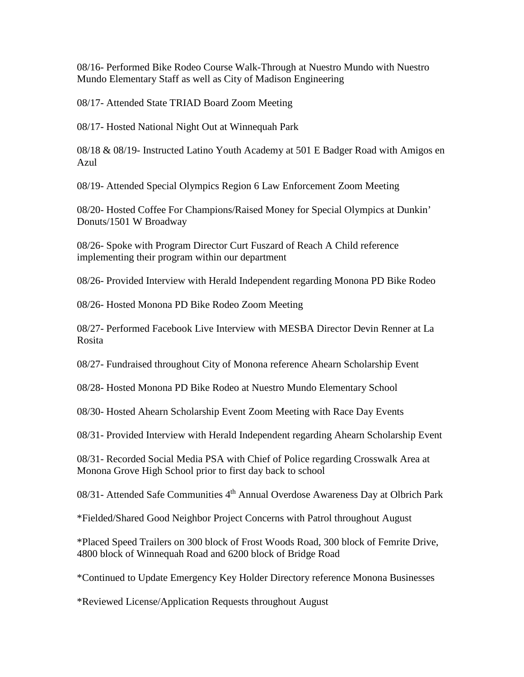08/16- Performed Bike Rodeo Course Walk-Through at Nuestro Mundo with Nuestro Mundo Elementary Staff as well as City of Madison Engineering

08/17- Attended State TRIAD Board Zoom Meeting

08/17- Hosted National Night Out at Winnequah Park

08/18 & 08/19- Instructed Latino Youth Academy at 501 E Badger Road with Amigos en Azul

08/19- Attended Special Olympics Region 6 Law Enforcement Zoom Meeting

08/20- Hosted Coffee For Champions/Raised Money for Special Olympics at Dunkin' Donuts/1501 W Broadway

08/26- Spoke with Program Director Curt Fuszard of Reach A Child reference implementing their program within our department

08/26- Provided Interview with Herald Independent regarding Monona PD Bike Rodeo

08/26- Hosted Monona PD Bike Rodeo Zoom Meeting

08/27- Performed Facebook Live Interview with MESBA Director Devin Renner at La Rosita

08/27- Fundraised throughout City of Monona reference Ahearn Scholarship Event

08/28- Hosted Monona PD Bike Rodeo at Nuestro Mundo Elementary School

08/30- Hosted Ahearn Scholarship Event Zoom Meeting with Race Day Events

08/31- Provided Interview with Herald Independent regarding Ahearn Scholarship Event

08/31- Recorded Social Media PSA with Chief of Police regarding Crosswalk Area at Monona Grove High School prior to first day back to school

08/31- Attended Safe Communities  $4<sup>th</sup>$  Annual Overdose Awareness Day at Olbrich Park

\*Fielded/Shared Good Neighbor Project Concerns with Patrol throughout August

\*Placed Speed Trailers on 300 block of Frost Woods Road, 300 block of Femrite Drive, 4800 block of Winnequah Road and 6200 block of Bridge Road

\*Continued to Update Emergency Key Holder Directory reference Monona Businesses

\*Reviewed License/Application Requests throughout August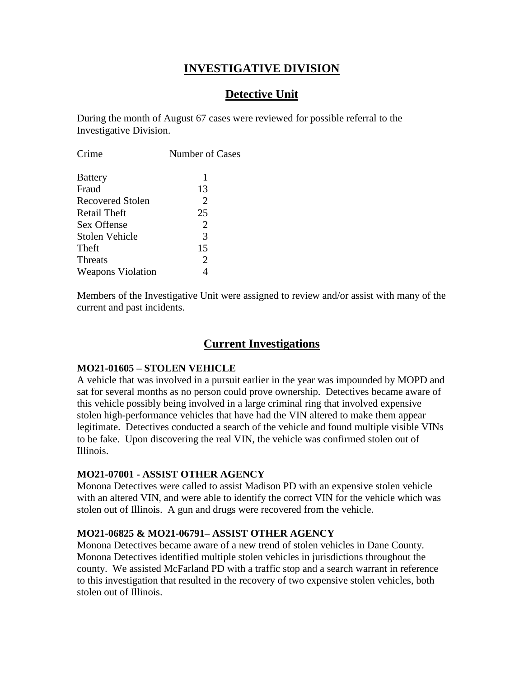# **INVESTIGATIVE DIVISION**

# **Detective Unit**

During the month of August 67 cases were reviewed for possible referral to the Investigative Division.

| 1              |
|----------------|
| 13             |
| 2              |
| 25             |
| $\overline{2}$ |
| $\mathcal{R}$  |
| 15             |
| 2              |
|                |
|                |

Members of the Investigative Unit were assigned to review and/or assist with many of the current and past incidents.

# **Current Investigations**

#### **MO21-01605 – STOLEN VEHICLE**

A vehicle that was involved in a pursuit earlier in the year was impounded by MOPD and sat for several months as no person could prove ownership. Detectives became aware of this vehicle possibly being involved in a large criminal ring that involved expensive stolen high-performance vehicles that have had the VIN altered to make them appear legitimate. Detectives conducted a search of the vehicle and found multiple visible VINs to be fake. Upon discovering the real VIN, the vehicle was confirmed stolen out of Illinois.

#### **MO21-07001 - ASSIST OTHER AGENCY**

Monona Detectives were called to assist Madison PD with an expensive stolen vehicle with an altered VIN, and were able to identify the correct VIN for the vehicle which was stolen out of Illinois. A gun and drugs were recovered from the vehicle.

#### **MO21-06825 & MO21-06791– ASSIST OTHER AGENCY**

Monona Detectives became aware of a new trend of stolen vehicles in Dane County. Monona Detectives identified multiple stolen vehicles in jurisdictions throughout the county. We assisted McFarland PD with a traffic stop and a search warrant in reference to this investigation that resulted in the recovery of two expensive stolen vehicles, both stolen out of Illinois.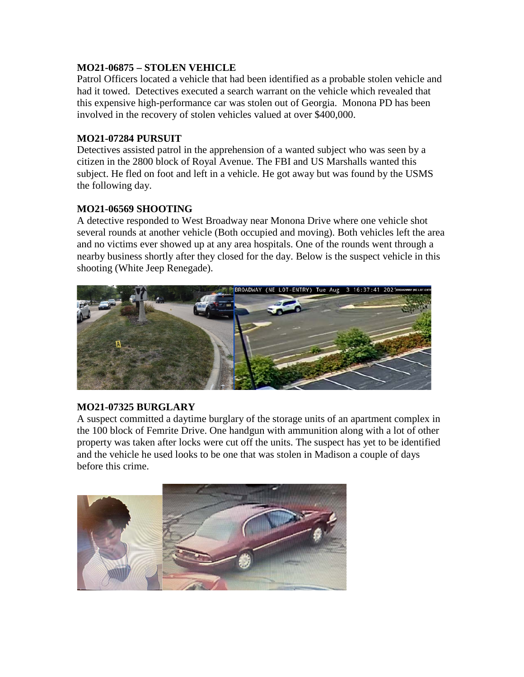#### **MO21-06875 – STOLEN VEHICLE**

Patrol Officers located a vehicle that had been identified as a probable stolen vehicle and had it towed. Detectives executed a search warrant on the vehicle which revealed that this expensive high-performance car was stolen out of Georgia. Monona PD has been involved in the recovery of stolen vehicles valued at over \$400,000.

#### **MO21-07284 PURSUIT**

Detectives assisted patrol in the apprehension of a wanted subject who was seen by a citizen in the 2800 block of Royal Avenue. The FBI and US Marshalls wanted this subject. He fled on foot and left in a vehicle. He got away but was found by the USMS the following day.

#### **MO21-06569 SHOOTING**

A detective responded to West Broadway near Monona Drive where one vehicle shot several rounds at another vehicle (Both occupied and moving). Both vehicles left the area and no victims ever showed up at any area hospitals. One of the rounds went through a nearby business shortly after they closed for the day. Below is the suspect vehicle in this shooting (White Jeep Renegade).



#### **MO21-07325 BURGLARY**

A suspect committed a daytime burglary of the storage units of an apartment complex in the 100 block of Femrite Drive. One handgun with ammunition along with a lot of other property was taken after locks were cut off the units. The suspect has yet to be identified and the vehicle he used looks to be one that was stolen in Madison a couple of days before this crime.

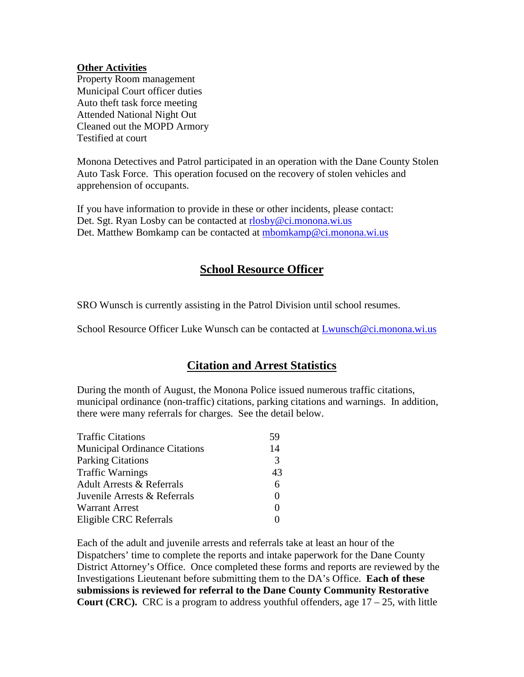#### **Other Activities**

Property Room management Municipal Court officer duties Auto theft task force meeting Attended National Night Out Cleaned out the MOPD Armory Testified at court

Monona Detectives and Patrol participated in an operation with the Dane County Stolen Auto Task Force. This operation focused on the recovery of stolen vehicles and apprehension of occupants.

If you have information to provide in these or other incidents, please contact: Det. Sgt. Ryan Losby can be contacted at [rlosby@ci.monona.wi.us](mailto:rlosby@ci.monona.wi.us) Det. Matthew Bomkamp can be contacted at [mbomkamp@ci.monona.wi.us](mailto:mbomkamp@ci.monona.wi.us)

## **School Resource Officer**

SRO Wunsch is currently assisting in the Patrol Division until school resumes.

School Resource Officer Luke Wunsch can be contacted at [Lwunsch@ci.monona.wi.us](mailto:Lwunsch@ci.monona.wi.us)

# **Citation and Arrest Statistics**

During the month of August, the Monona Police issued numerous traffic citations, municipal ordinance (non-traffic) citations, parking citations and warnings. In addition, there were many referrals for charges. See the detail below.

| <b>Traffic Citations</b>             | 59       |
|--------------------------------------|----------|
| <b>Municipal Ordinance Citations</b> | 14       |
| <b>Parking Citations</b>             | 3        |
| <b>Traffic Warnings</b>              | 43       |
| <b>Adult Arrests &amp; Referrals</b> | 6        |
| Juvenile Arrests & Referrals         | $\Omega$ |
| <b>Warrant Arrest</b>                | 0        |
| Eligible CRC Referrals               |          |

Each of the adult and juvenile arrests and referrals take at least an hour of the Dispatchers' time to complete the reports and intake paperwork for the Dane County District Attorney's Office. Once completed these forms and reports are reviewed by the Investigations Lieutenant before submitting them to the DA's Office. **Each of these submissions is reviewed for referral to the Dane County Community Restorative Court (CRC).** CRC is a program to address youthful offenders, age  $17 - 25$ , with little